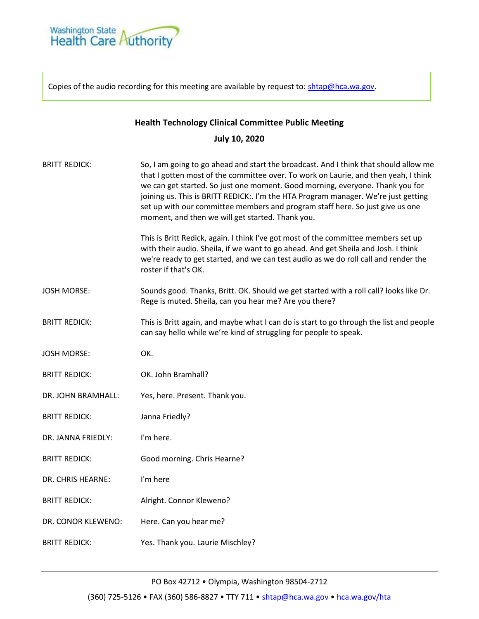

Copies of the audio recording for this meeting are available by request to[: shtap@hca.wa.gov.](mailto:shtap@hca.wa.gov)

## **Health Technology Clinical Committee Public Meeting**

## **July 10, 2020**

| <b>BRITT REDICK:</b> | So, I am going to go ahead and start the broadcast. And I think that should allow me<br>that I gotten most of the committee over. To work on Laurie, and then yeah, I think<br>we can get started. So just one moment. Good morning, everyone. Thank you for<br>joining us. This is BRITT REDICK:. I'm the HTA Program manager. We're just getting<br>set up with our committee members and program staff here. So just give us one<br>moment, and then we will get started. Thank you.<br>This is Britt Redick, again. I think I've got most of the committee members set up |
|----------------------|-------------------------------------------------------------------------------------------------------------------------------------------------------------------------------------------------------------------------------------------------------------------------------------------------------------------------------------------------------------------------------------------------------------------------------------------------------------------------------------------------------------------------------------------------------------------------------|
|                      | with their audio. Sheila, if we want to go ahead. And get Sheila and Josh. I think<br>we're ready to get started, and we can test audio as we do roll call and render the<br>roster if that's OK.                                                                                                                                                                                                                                                                                                                                                                             |
| <b>JOSH MORSE:</b>   | Sounds good. Thanks, Britt. OK. Should we get started with a roll call? looks like Dr.<br>Rege is muted. Sheila, can you hear me? Are you there?                                                                                                                                                                                                                                                                                                                                                                                                                              |
| <b>BRITT REDICK:</b> | This is Britt again, and maybe what I can do is start to go through the list and people<br>can say hello while we're kind of struggling for people to speak.                                                                                                                                                                                                                                                                                                                                                                                                                  |
| <b>JOSH MORSE:</b>   | OK.                                                                                                                                                                                                                                                                                                                                                                                                                                                                                                                                                                           |
| <b>BRITT REDICK:</b> | OK. John Bramhall?                                                                                                                                                                                                                                                                                                                                                                                                                                                                                                                                                            |
| DR. JOHN BRAMHALL:   | Yes, here. Present. Thank you.                                                                                                                                                                                                                                                                                                                                                                                                                                                                                                                                                |
| <b>BRITT REDICK:</b> | Janna Friedly?                                                                                                                                                                                                                                                                                                                                                                                                                                                                                                                                                                |
| DR. JANNA FRIEDLY:   | I'm here.                                                                                                                                                                                                                                                                                                                                                                                                                                                                                                                                                                     |
| <b>BRITT REDICK:</b> | Good morning. Chris Hearne?                                                                                                                                                                                                                                                                                                                                                                                                                                                                                                                                                   |
| DR. CHRIS HEARNE:    | I'm here                                                                                                                                                                                                                                                                                                                                                                                                                                                                                                                                                                      |
| <b>BRITT REDICK:</b> | Alright. Connor Kleweno?                                                                                                                                                                                                                                                                                                                                                                                                                                                                                                                                                      |
| DR. CONOR KLEWENO:   | Here. Can you hear me?                                                                                                                                                                                                                                                                                                                                                                                                                                                                                                                                                        |
| <b>BRITT REDICK:</b> | Yes. Thank you. Laurie Mischley?                                                                                                                                                                                                                                                                                                                                                                                                                                                                                                                                              |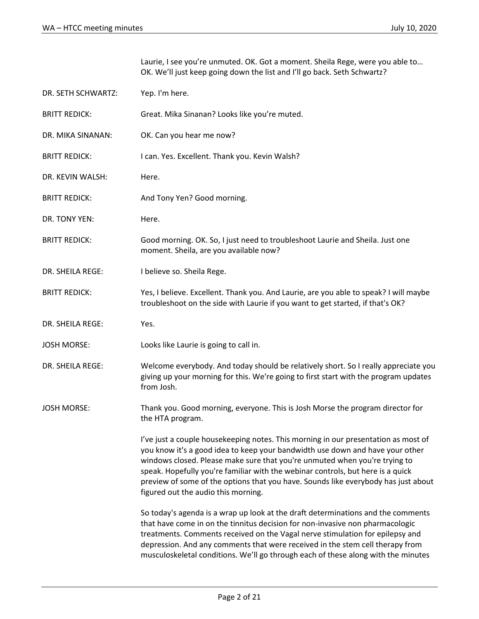Laurie, I see you're unmuted. OK. Got a moment. Sheila Rege, were you able to… OK. We'll just keep going down the list and I'll go back. Seth Schwartz?

- DR. SETH SCHWARTZ: Yep. I'm here.
- BRITT REDICK: Great. Mika Sinanan? Looks like you're muted.
- DR. MIKA SINANAN: OK. Can you hear me now?
- BRITT REDICK: I can. Yes. Excellent. Thank you. Kevin Walsh?
- DR. KEVIN WALSH: Here.
- BRITT REDICK: And Tony Yen? Good morning.
- DR. TONY YEN: Here.
- BRITT REDICK: Good morning. OK. So, I just need to troubleshoot Laurie and Sheila. Just one moment. Sheila, are you available now?
- DR. SHEILA REGE: I believe so. Sheila Rege.
- BRITT REDICK: Yes, I believe. Excellent. Thank you. And Laurie, are you able to speak? I will maybe troubleshoot on the side with Laurie if you want to get started, if that's OK?
- DR. SHEILA REGE: Yes.
- JOSH MORSE: Looks like Laurie is going to call in.
- DR. SHEILA REGE: Welcome everybody. And today should be relatively short. So I really appreciate you giving up your morning for this. We're going to first start with the program updates from Josh.

JOSH MORSE: Thank you. Good morning, everyone. This is Josh Morse the program director for the HTA program.

> I've just a couple housekeeping notes. This morning in our presentation as most of you know it's a good idea to keep your bandwidth use down and have your other windows closed. Please make sure that you're unmuted when you're trying to speak. Hopefully you're familiar with the webinar controls, but here is a quick preview of some of the options that you have. Sounds like everybody has just about figured out the audio this morning.

> So today's agenda is a wrap up look at the draft determinations and the comments that have come in on the tinnitus decision for non-invasive non pharmacologic treatments. Comments received on the Vagal nerve stimulation for epilepsy and depression. And any comments that were received in the stem cell therapy from musculoskeletal conditions. We'll go through each of these along with the minutes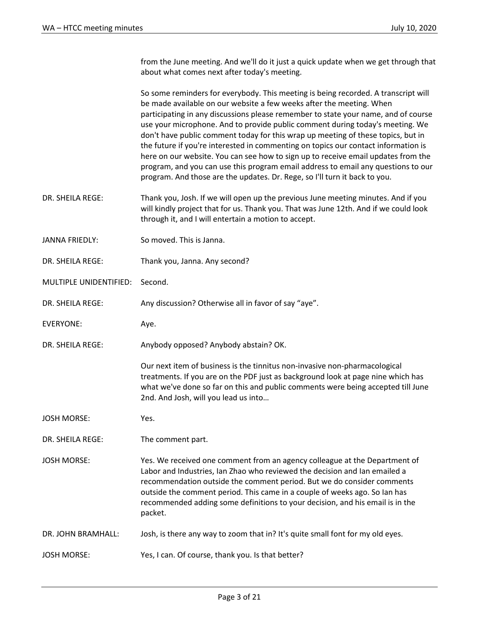from the June meeting. And we'll do it just a quick update when we get through that about what comes next after today's meeting.

So some reminders for everybody. This meeting is being recorded. A transcript will be made available on our website a few weeks after the meeting. When participating in any discussions please remember to state your name, and of course use your microphone. And to provide public comment during today's meeting. We don't have public comment today for this wrap up meeting of these topics, but in the future if you're interested in commenting on topics our contact information is here on our website. You can see how to sign up to receive email updates from the program, and you can use this program email address to email any questions to our program. And those are the updates. Dr. Rege, so I'll turn it back to you.

- DR. SHEILA REGE: Thank you, Josh. If we will open up the previous June meeting minutes. And if you will kindly project that for us. Thank you. That was June 12th. And if we could look through it, and I will entertain a motion to accept.
- JANNA FRIEDLY: So moved. This is Janna.
- DR. SHEILA REGE: Thank you, Janna. Any second?
- MULTIPLE UNIDENTIFIED: Second.
- DR. SHEILA REGE: Any discussion? Otherwise all in favor of say "aye".
- EVERYONE: Aye.
- DR. SHEILA REGE: Anybody opposed? Anybody abstain? OK.

Our next item of business is the tinnitus non-invasive non-pharmacological treatments. If you are on the PDF just as background look at page nine which has what we've done so far on this and public comments were being accepted till June 2nd. And Josh, will you lead us into…

- JOSH MORSE: Yes.
- DR. SHEILA REGE: The comment part.
- JOSH MORSE: Yes. We received one comment from an agency colleague at the Department of Labor and Industries, Ian Zhao who reviewed the decision and Ian emailed a recommendation outside the comment period. But we do consider comments outside the comment period. This came in a couple of weeks ago. So Ian has recommended adding some definitions to your decision, and his email is in the packet.
- DR. JOHN BRAMHALL: Josh, is there any way to zoom that in? It's quite small font for my old eyes.
- JOSH MORSE: Yes, I can. Of course, thank you. Is that better?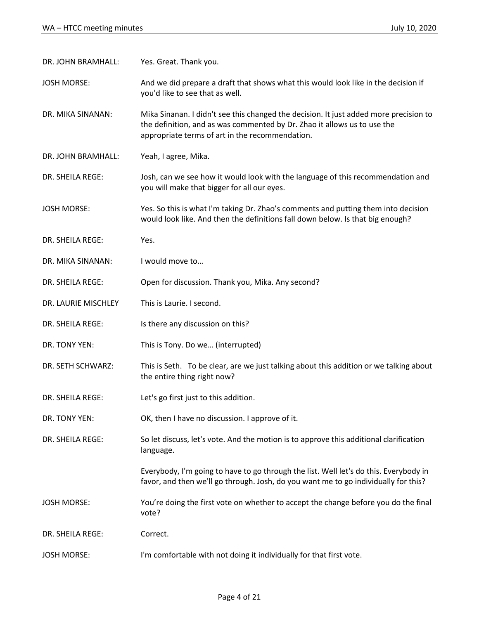| DR. JOHN BRAMHALL:  | Yes. Great. Thank you.                                                                                                                                                                                               |
|---------------------|----------------------------------------------------------------------------------------------------------------------------------------------------------------------------------------------------------------------|
| <b>JOSH MORSE:</b>  | And we did prepare a draft that shows what this would look like in the decision if<br>you'd like to see that as well.                                                                                                |
| DR. MIKA SINANAN:   | Mika Sinanan. I didn't see this changed the decision. It just added more precision to<br>the definition, and as was commented by Dr. Zhao it allows us to use the<br>appropriate terms of art in the recommendation. |
| DR. JOHN BRAMHALL:  | Yeah, I agree, Mika.                                                                                                                                                                                                 |
| DR. SHEILA REGE:    | Josh, can we see how it would look with the language of this recommendation and<br>you will make that bigger for all our eyes.                                                                                       |
| <b>JOSH MORSE:</b>  | Yes. So this is what I'm taking Dr. Zhao's comments and putting them into decision<br>would look like. And then the definitions fall down below. Is that big enough?                                                 |
| DR. SHEILA REGE:    | Yes.                                                                                                                                                                                                                 |
| DR. MIKA SINANAN:   | I would move to                                                                                                                                                                                                      |
| DR. SHEILA REGE:    | Open for discussion. Thank you, Mika. Any second?                                                                                                                                                                    |
| DR. LAURIE MISCHLEY | This is Laurie. I second.                                                                                                                                                                                            |
| DR. SHEILA REGE:    | Is there any discussion on this?                                                                                                                                                                                     |
| DR. TONY YEN:       | This is Tony. Do we (interrupted)                                                                                                                                                                                    |
| DR. SETH SCHWARZ:   | This is Seth. To be clear, are we just talking about this addition or we talking about<br>the entire thing right now?                                                                                                |
| DR. SHEILA REGE:    | Let's go first just to this addition.                                                                                                                                                                                |
| DR. TONY YEN:       | OK, then I have no discussion. I approve of it.                                                                                                                                                                      |
| DR. SHEILA REGE:    | So let discuss, let's vote. And the motion is to approve this additional clarification<br>language.                                                                                                                  |
|                     | Everybody, I'm going to have to go through the list. Well let's do this. Everybody in<br>favor, and then we'll go through. Josh, do you want me to go individually for this?                                         |
| <b>JOSH MORSE:</b>  | You're doing the first vote on whether to accept the change before you do the final<br>vote?                                                                                                                         |
| DR. SHEILA REGE:    | Correct.                                                                                                                                                                                                             |
| <b>JOSH MORSE:</b>  | I'm comfortable with not doing it individually for that first vote.                                                                                                                                                  |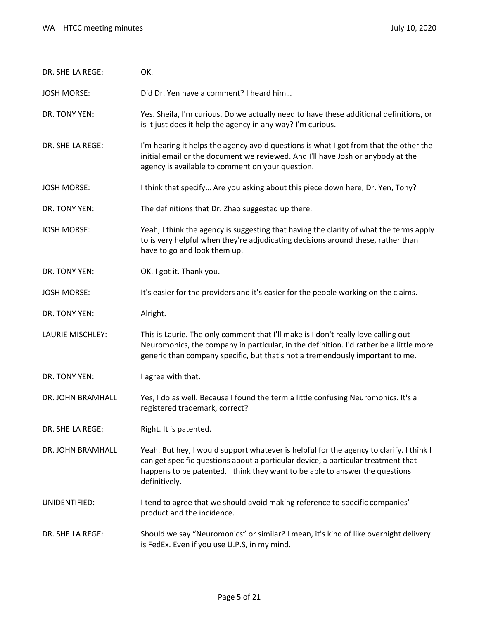| DR. SHEILA REGE:   | OK.                                                                                                                                                                                                                                                                           |
|--------------------|-------------------------------------------------------------------------------------------------------------------------------------------------------------------------------------------------------------------------------------------------------------------------------|
| <b>JOSH MORSE:</b> | Did Dr. Yen have a comment? I heard him                                                                                                                                                                                                                                       |
| DR. TONY YEN:      | Yes. Sheila, I'm curious. Do we actually need to have these additional definitions, or<br>is it just does it help the agency in any way? I'm curious.                                                                                                                         |
| DR. SHEILA REGE:   | I'm hearing it helps the agency avoid questions is what I got from that the other the<br>initial email or the document we reviewed. And I'll have Josh or anybody at the<br>agency is available to comment on your question.                                                  |
| <b>JOSH MORSE:</b> | I think that specify Are you asking about this piece down here, Dr. Yen, Tony?                                                                                                                                                                                                |
| DR. TONY YEN:      | The definitions that Dr. Zhao suggested up there.                                                                                                                                                                                                                             |
| <b>JOSH MORSE:</b> | Yeah, I think the agency is suggesting that having the clarity of what the terms apply<br>to is very helpful when they're adjudicating decisions around these, rather than<br>have to go and look them up.                                                                    |
| DR. TONY YEN:      | OK. I got it. Thank you.                                                                                                                                                                                                                                                      |
| <b>JOSH MORSE:</b> | It's easier for the providers and it's easier for the people working on the claims.                                                                                                                                                                                           |
| DR. TONY YEN:      | Alright.                                                                                                                                                                                                                                                                      |
| LAURIE MISCHLEY:   | This is Laurie. The only comment that I'll make is I don't really love calling out<br>Neuromonics, the company in particular, in the definition. I'd rather be a little more<br>generic than company specific, but that's not a tremendously important to me.                 |
| DR. TONY YEN:      | I agree with that.                                                                                                                                                                                                                                                            |
| DR. JOHN BRAMHALL  | Yes, I do as well. Because I found the term a little confusing Neuromonics. It's a<br>registered trademark, correct?                                                                                                                                                          |
| DR. SHEILA REGE:   | Right. It is patented.                                                                                                                                                                                                                                                        |
| DR. JOHN BRAMHALL  | Yeah. But hey, I would support whatever is helpful for the agency to clarify. I think I<br>can get specific questions about a particular device, a particular treatment that<br>happens to be patented. I think they want to be able to answer the questions<br>definitively. |
| UNIDENTIFIED:      | I tend to agree that we should avoid making reference to specific companies'<br>product and the incidence.                                                                                                                                                                    |
| DR. SHEILA REGE:   | Should we say "Neuromonics" or similar? I mean, it's kind of like overnight delivery<br>is FedEx. Even if you use U.P.S, in my mind.                                                                                                                                          |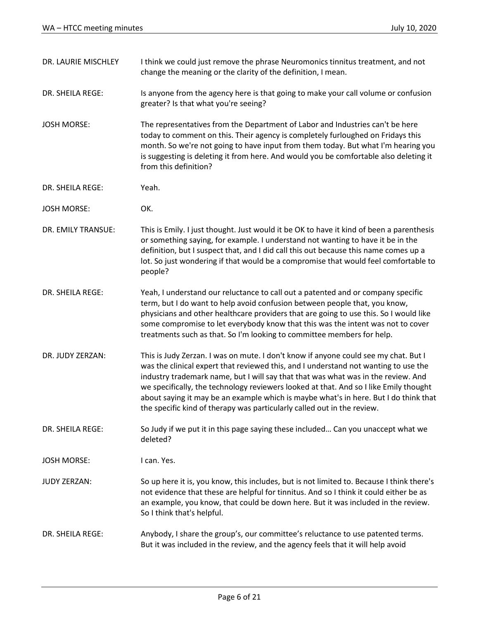| DR. LAURIE MISCHLEY | I think we could just remove the phrase Neuromonics tinnitus treatment, and not<br>change the meaning or the clarity of the definition, I mean.                                                                                                                                                                                                                                                                                                                                                                             |
|---------------------|-----------------------------------------------------------------------------------------------------------------------------------------------------------------------------------------------------------------------------------------------------------------------------------------------------------------------------------------------------------------------------------------------------------------------------------------------------------------------------------------------------------------------------|
| DR. SHEILA REGE:    | Is anyone from the agency here is that going to make your call volume or confusion<br>greater? Is that what you're seeing?                                                                                                                                                                                                                                                                                                                                                                                                  |
| <b>JOSH MORSE:</b>  | The representatives from the Department of Labor and Industries can't be here<br>today to comment on this. Their agency is completely furloughed on Fridays this<br>month. So we're not going to have input from them today. But what I'm hearing you<br>is suggesting is deleting it from here. And would you be comfortable also deleting it<br>from this definition?                                                                                                                                                     |
| DR. SHEILA REGE:    | Yeah.                                                                                                                                                                                                                                                                                                                                                                                                                                                                                                                       |
| <b>JOSH MORSE:</b>  | OK.                                                                                                                                                                                                                                                                                                                                                                                                                                                                                                                         |
| DR. EMILY TRANSUE:  | This is Emily. I just thought. Just would it be OK to have it kind of been a parenthesis<br>or something saying, for example. I understand not wanting to have it be in the<br>definition, but I suspect that, and I did call this out because this name comes up a<br>lot. So just wondering if that would be a compromise that would feel comfortable to<br>people?                                                                                                                                                       |
| DR. SHEILA REGE:    | Yeah, I understand our reluctance to call out a patented and or company specific<br>term, but I do want to help avoid confusion between people that, you know,<br>physicians and other healthcare providers that are going to use this. So I would like<br>some compromise to let everybody know that this was the intent was not to cover<br>treatments such as that. So I'm looking to committee members for help.                                                                                                        |
| DR. JUDY ZERZAN:    | This is Judy Zerzan. I was on mute. I don't know if anyone could see my chat. But I<br>was the clinical expert that reviewed this, and I understand not wanting to use the<br>industry trademark name, but I will say that that was what was in the review. And<br>we specifically, the technology reviewers looked at that. And so I like Emily thought<br>about saying it may be an example which is maybe what's in here. But I do think that<br>the specific kind of therapy was particularly called out in the review. |
| DR. SHEILA REGE:    | So Judy if we put it in this page saying these included Can you unaccept what we<br>deleted?                                                                                                                                                                                                                                                                                                                                                                                                                                |
| <b>JOSH MORSE:</b>  | I can. Yes.                                                                                                                                                                                                                                                                                                                                                                                                                                                                                                                 |
| <b>JUDY ZERZAN:</b> | So up here it is, you know, this includes, but is not limited to. Because I think there's<br>not evidence that these are helpful for tinnitus. And so I think it could either be as<br>an example, you know, that could be down here. But it was included in the review.<br>So I think that's helpful.                                                                                                                                                                                                                      |
| DR. SHEILA REGE:    | Anybody, I share the group's, our committee's reluctance to use patented terms.<br>But it was included in the review, and the agency feels that it will help avoid                                                                                                                                                                                                                                                                                                                                                          |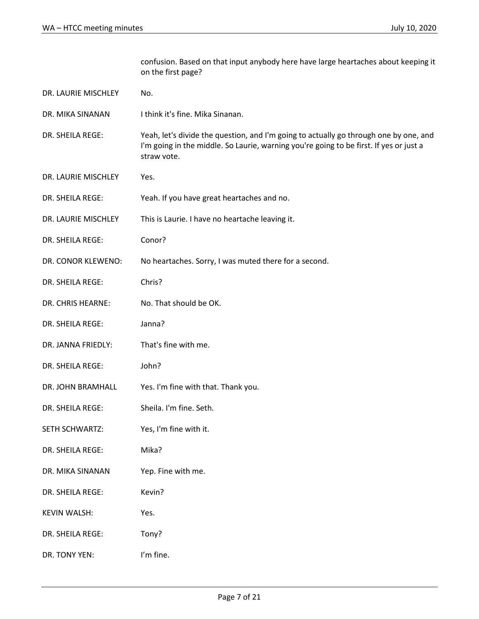confusion. Based on that input anybody here have large heartaches about keeping it on the first page? DR. LAURIE MISCHLEY No. DR. MIKA SINANAN I think it's fine. Mika Sinanan. DR. SHEILA REGE: Yeah, let's divide the question, and I'm going to actually go through one by one, and I'm going in the middle. So Laurie, warning you're going to be first. If yes or just a straw vote. DR. LAURIE MISCHLEY Yes. DR. SHEILA REGE: Yeah. If you have great heartaches and no. DR. LAURIE MISCHLEY This is Laurie. I have no heartache leaving it. DR. SHEILA REGE: Conor? DR. CONOR KLEWENO: No heartaches. Sorry, I was muted there for a second. DR. SHEILA REGE: Chris? DR. CHRIS HEARNE: No. That should be OK. DR. SHEILA REGE: Janna? DR. JANNA FRIEDLY: That's fine with me. DR. SHEILA REGE: John? DR. JOHN BRAMHALL Yes. I'm fine with that. Thank you. DR. SHEILA REGE: Sheila. I'm fine. Seth. SETH SCHWARTZ: Yes, I'm fine with it. DR. SHEILA REGE: Mika? DR. MIKA SINANAN Yep. Fine with me. DR. SHEILA REGE: Kevin? KEVIN WALSH: Yes. DR. SHEILA REGE: Tony?

DR. TONY YEN: I'm fine.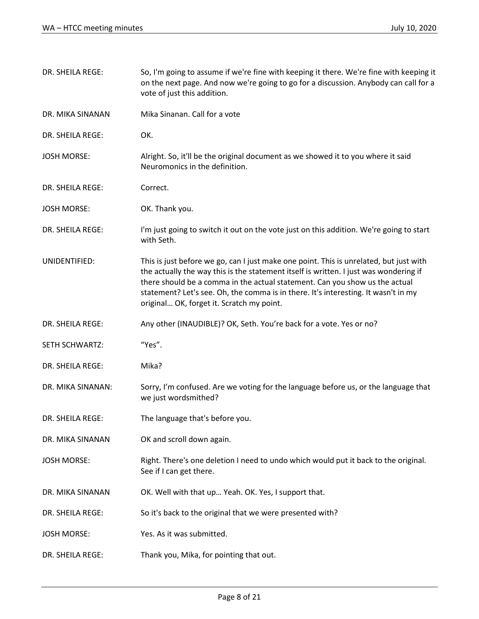| DR. SHEILA REGE:   | So, I'm going to assume if we're fine with keeping it there. We're fine with keeping it<br>on the next page. And now we're going to go for a discussion. Anybody can call for a<br>vote of just this addition.                                                                                                                                                                                    |
|--------------------|---------------------------------------------------------------------------------------------------------------------------------------------------------------------------------------------------------------------------------------------------------------------------------------------------------------------------------------------------------------------------------------------------|
| DR. MIKA SINANAN   | Mika Sinanan, Call for a vote                                                                                                                                                                                                                                                                                                                                                                     |
| DR. SHEILA REGE:   | OK.                                                                                                                                                                                                                                                                                                                                                                                               |
| <b>JOSH MORSE:</b> | Alright. So, it'll be the original document as we showed it to you where it said<br>Neuromonics in the definition.                                                                                                                                                                                                                                                                                |
| DR. SHEILA REGE:   | Correct.                                                                                                                                                                                                                                                                                                                                                                                          |
| <b>JOSH MORSE:</b> | OK. Thank you.                                                                                                                                                                                                                                                                                                                                                                                    |
| DR. SHEILA REGE:   | I'm just going to switch it out on the vote just on this addition. We're going to start<br>with Seth.                                                                                                                                                                                                                                                                                             |
| UNIDENTIFIED:      | This is just before we go, can I just make one point. This is unrelated, but just with<br>the actually the way this is the statement itself is written. I just was wondering if<br>there should be a comma in the actual statement. Can you show us the actual<br>statement? Let's see. Oh, the comma is in there. It's interesting. It wasn't in my<br>original OK, forget it. Scratch my point. |
| DR. SHEILA REGE:   | Any other (INAUDIBLE)? OK, Seth. You're back for a vote. Yes or no?                                                                                                                                                                                                                                                                                                                               |
| SETH SCHWARTZ:     | "Yes".                                                                                                                                                                                                                                                                                                                                                                                            |
| DR. SHEILA REGE:   | Mika?                                                                                                                                                                                                                                                                                                                                                                                             |
| DR. MIKA SINANAN:  | Sorry, I'm confused. Are we voting for the language before us, or the language that<br>we just wordsmithed?                                                                                                                                                                                                                                                                                       |
| DR. SHEILA REGE:   | The language that's before you.                                                                                                                                                                                                                                                                                                                                                                   |
| DR. MIKA SINANAN   | OK and scroll down again.                                                                                                                                                                                                                                                                                                                                                                         |
| <b>JOSH MORSE:</b> | Right. There's one deletion I need to undo which would put it back to the original.<br>See if I can get there.                                                                                                                                                                                                                                                                                    |
| DR. MIKA SINANAN   | OK. Well with that up Yeah. OK. Yes, I support that.                                                                                                                                                                                                                                                                                                                                              |
| DR. SHEILA REGE:   | So it's back to the original that we were presented with?                                                                                                                                                                                                                                                                                                                                         |
| <b>JOSH MORSE:</b> | Yes. As it was submitted.                                                                                                                                                                                                                                                                                                                                                                         |
| DR. SHEILA REGE:   | Thank you, Mika, for pointing that out.                                                                                                                                                                                                                                                                                                                                                           |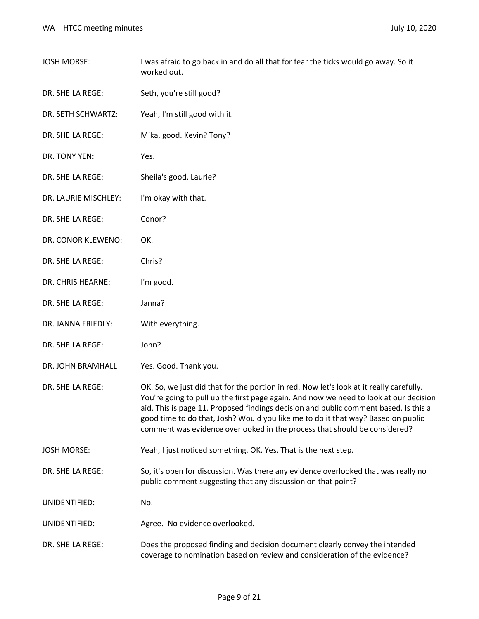| <b>JOSH MORSE:</b>   | I was afraid to go back in and do all that for fear the ticks would go away. So it<br>worked out.                                                                                                                                                                                                                                                                                                                                         |
|----------------------|-------------------------------------------------------------------------------------------------------------------------------------------------------------------------------------------------------------------------------------------------------------------------------------------------------------------------------------------------------------------------------------------------------------------------------------------|
| DR. SHEILA REGE:     | Seth, you're still good?                                                                                                                                                                                                                                                                                                                                                                                                                  |
| DR. SETH SCHWARTZ:   | Yeah, I'm still good with it.                                                                                                                                                                                                                                                                                                                                                                                                             |
| DR. SHEILA REGE:     | Mika, good. Kevin? Tony?                                                                                                                                                                                                                                                                                                                                                                                                                  |
| DR. TONY YEN:        | Yes.                                                                                                                                                                                                                                                                                                                                                                                                                                      |
| DR. SHEILA REGE:     | Sheila's good. Laurie?                                                                                                                                                                                                                                                                                                                                                                                                                    |
| DR. LAURIE MISCHLEY: | I'm okay with that.                                                                                                                                                                                                                                                                                                                                                                                                                       |
| DR. SHEILA REGE:     | Conor?                                                                                                                                                                                                                                                                                                                                                                                                                                    |
| DR. CONOR KLEWENO:   | OK.                                                                                                                                                                                                                                                                                                                                                                                                                                       |
| DR. SHEILA REGE:     | Chris?                                                                                                                                                                                                                                                                                                                                                                                                                                    |
| DR. CHRIS HEARNE:    | I'm good.                                                                                                                                                                                                                                                                                                                                                                                                                                 |
| DR. SHEILA REGE:     | Janna?                                                                                                                                                                                                                                                                                                                                                                                                                                    |
| DR. JANNA FRIEDLY:   | With everything.                                                                                                                                                                                                                                                                                                                                                                                                                          |
| DR. SHEILA REGE:     | John?                                                                                                                                                                                                                                                                                                                                                                                                                                     |
| DR. JOHN BRAMHALL    | Yes. Good. Thank you.                                                                                                                                                                                                                                                                                                                                                                                                                     |
| DR. SHEILA REGE:     | OK. So, we just did that for the portion in red. Now let's look at it really carefully.<br>You're going to pull up the first page again. And now we need to look at our decision<br>aid. This is page 11. Proposed findings decision and public comment based. Is this a<br>good time to do that, Josh? Would you like me to do it that way? Based on public<br>comment was evidence overlooked in the process that should be considered? |
| <b>JOSH MORSE:</b>   | Yeah, I just noticed something. OK. Yes. That is the next step.                                                                                                                                                                                                                                                                                                                                                                           |
| DR. SHEILA REGE:     | So, it's open for discussion. Was there any evidence overlooked that was really no<br>public comment suggesting that any discussion on that point?                                                                                                                                                                                                                                                                                        |
| UNIDENTIFIED:        | No.                                                                                                                                                                                                                                                                                                                                                                                                                                       |
| UNIDENTIFIED:        | Agree. No evidence overlooked.                                                                                                                                                                                                                                                                                                                                                                                                            |
| DR. SHEILA REGE:     | Does the proposed finding and decision document clearly convey the intended<br>coverage to nomination based on review and consideration of the evidence?                                                                                                                                                                                                                                                                                  |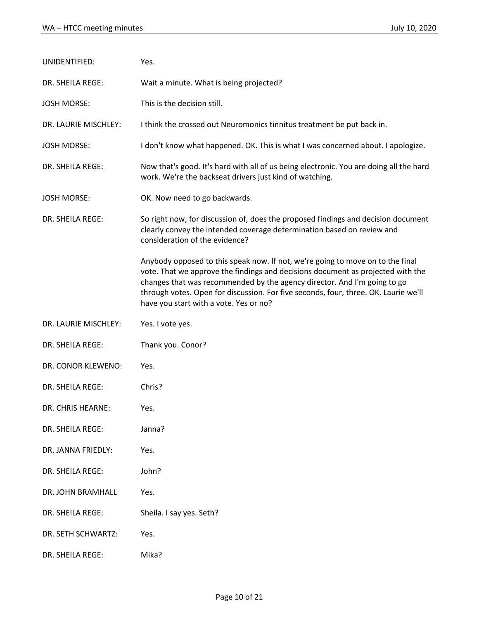| UNIDENTIFIED:           | Yes.                                                                                                                                                                                                                                                                                                                                                                           |
|-------------------------|--------------------------------------------------------------------------------------------------------------------------------------------------------------------------------------------------------------------------------------------------------------------------------------------------------------------------------------------------------------------------------|
| DR. SHEILA REGE:        | Wait a minute. What is being projected?                                                                                                                                                                                                                                                                                                                                        |
| <b>JOSH MORSE:</b>      | This is the decision still.                                                                                                                                                                                                                                                                                                                                                    |
| DR. LAURIE MISCHLEY:    | I think the crossed out Neuromonics tinnitus treatment be put back in.                                                                                                                                                                                                                                                                                                         |
| <b>JOSH MORSE:</b>      | I don't know what happened. OK. This is what I was concerned about. I apologize.                                                                                                                                                                                                                                                                                               |
| <b>DR. SHEILA REGE:</b> | Now that's good. It's hard with all of us being electronic. You are doing all the hard<br>work. We're the backseat drivers just kind of watching.                                                                                                                                                                                                                              |
| <b>JOSH MORSE:</b>      | OK. Now need to go backwards.                                                                                                                                                                                                                                                                                                                                                  |
| DR. SHEILA REGE:        | So right now, for discussion of, does the proposed findings and decision document<br>clearly convey the intended coverage determination based on review and<br>consideration of the evidence?                                                                                                                                                                                  |
|                         | Anybody opposed to this speak now. If not, we're going to move on to the final<br>vote. That we approve the findings and decisions document as projected with the<br>changes that was recommended by the agency director. And I'm going to go<br>through votes. Open for discussion. For five seconds, four, three. OK. Laurie we'll<br>have you start with a vote. Yes or no? |
| DR. LAURIE MISCHLEY:    | Yes. I vote yes.                                                                                                                                                                                                                                                                                                                                                               |
| DR. SHEILA REGE:        | Thank you. Conor?                                                                                                                                                                                                                                                                                                                                                              |
| DR. CONOR KLEWENO:      | Yes.                                                                                                                                                                                                                                                                                                                                                                           |
| <b>DR. SHEILA REGE:</b> | Chris?                                                                                                                                                                                                                                                                                                                                                                         |
| DR. CHRIS HEARNE:       | Yes.                                                                                                                                                                                                                                                                                                                                                                           |
| DR. SHEILA REGE:        | Janna?                                                                                                                                                                                                                                                                                                                                                                         |
| DR. JANNA FRIEDLY:      | Yes.                                                                                                                                                                                                                                                                                                                                                                           |
| DR. SHEILA REGE:        | John?                                                                                                                                                                                                                                                                                                                                                                          |
| DR. JOHN BRAMHALL       | Yes.                                                                                                                                                                                                                                                                                                                                                                           |
| DR. SHEILA REGE:        | Sheila. I say yes. Seth?                                                                                                                                                                                                                                                                                                                                                       |
| DR. SETH SCHWARTZ:      | Yes.                                                                                                                                                                                                                                                                                                                                                                           |
| DR. SHEILA REGE:        | Mika?                                                                                                                                                                                                                                                                                                                                                                          |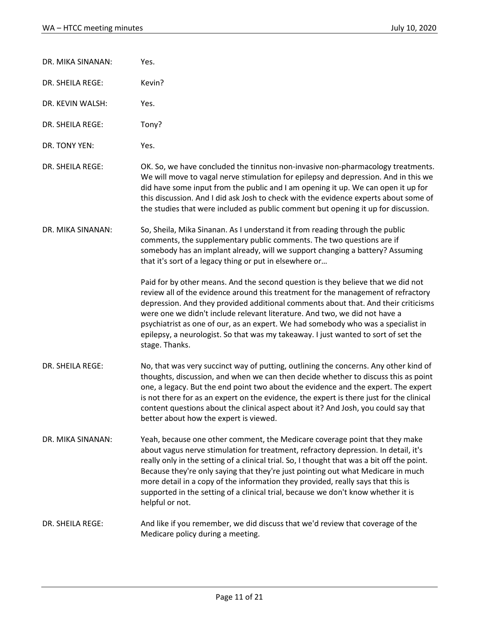DR. MIKA SINANAN: Yes. DR. SHEILA REGE: Kevin? DR. KEVIN WALSH: Yes. DR. SHEILA REGE: Tony? DR. TONY YEN: Yes. DR. SHEILA REGE: OK. So, we have concluded the tinnitus non-invasive non-pharmacology treatments. We will move to vagal nerve stimulation for epilepsy and depression. And in this we did have some input from the public and I am opening it up. We can open it up for this discussion. And I did ask Josh to check with the evidence experts about some of the studies that were included as public comment but opening it up for discussion. DR. MIKA SINANAN: So, Sheila, Mika Sinanan. As I understand it from reading through the public comments, the supplementary public comments. The two questions are if somebody has an implant already, will we support changing a battery? Assuming that it's sort of a legacy thing or put in elsewhere or… Paid for by other means. And the second question is they believe that we did not review all of the evidence around this treatment for the management of refractory depression. And they provided additional comments about that. And their criticisms were one we didn't include relevant literature. And two, we did not have a psychiatrist as one of our, as an expert. We had somebody who was a specialist in epilepsy, a neurologist. So that was my takeaway. I just wanted to sort of set the stage. Thanks. DR. SHEILA REGE: No, that was very succinct way of putting, outlining the concerns. Any other kind of thoughts, discussion, and when we can then decide whether to discuss this as point one, a legacy. But the end point two about the evidence and the expert. The expert is not there for as an expert on the evidence, the expert is there just for the clinical content questions about the clinical aspect about it? And Josh, you could say that better about how the expert is viewed. DR. MIKA SINANAN: Yeah, because one other comment, the Medicare coverage point that they make about vagus nerve stimulation for treatment, refractory depression. In detail, it's really only in the setting of a clinical trial. So, I thought that was a bit off the point. Because they're only saying that they're just pointing out what Medicare in much more detail in a copy of the information they provided, really says that this is supported in the setting of a clinical trial, because we don't know whether it is helpful or not. DR. SHEILA REGE: And like if you remember, we did discuss that we'd review that coverage of the Medicare policy during a meeting.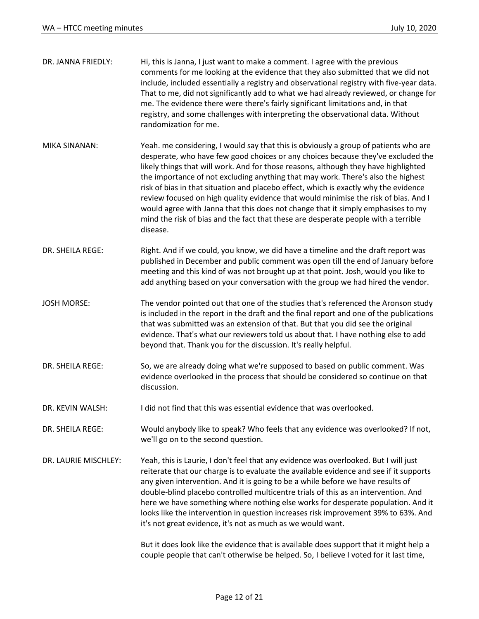| DR. JANNA FRIEDLY:   | Hi, this is Janna, I just want to make a comment. I agree with the previous<br>comments for me looking at the evidence that they also submitted that we did not<br>include, included essentially a registry and observational registry with five-year data.<br>That to me, did not significantly add to what we had already reviewed, or change for<br>me. The evidence there were there's fairly significant limitations and, in that<br>registry, and some challenges with interpreting the observational data. Without<br>randomization for me.                                                                                                                                                                       |
|----------------------|--------------------------------------------------------------------------------------------------------------------------------------------------------------------------------------------------------------------------------------------------------------------------------------------------------------------------------------------------------------------------------------------------------------------------------------------------------------------------------------------------------------------------------------------------------------------------------------------------------------------------------------------------------------------------------------------------------------------------|
| <b>MIKA SINANAN:</b> | Yeah. me considering, I would say that this is obviously a group of patients who are<br>desperate, who have few good choices or any choices because they've excluded the<br>likely things that will work. And for those reasons, although they have highlighted<br>the importance of not excluding anything that may work. There's also the highest<br>risk of bias in that situation and placebo effect, which is exactly why the evidence<br>review focused on high quality evidence that would minimise the risk of bias. And I<br>would agree with Janna that this does not change that it simply emphasises to my<br>mind the risk of bias and the fact that these are desperate people with a terrible<br>disease. |
| DR. SHEILA REGE:     | Right. And if we could, you know, we did have a timeline and the draft report was<br>published in December and public comment was open till the end of January before<br>meeting and this kind of was not brought up at that point. Josh, would you like to<br>add anything based on your conversation with the group we had hired the vendor.                                                                                                                                                                                                                                                                                                                                                                           |
| <b>JOSH MORSE:</b>   | The vendor pointed out that one of the studies that's referenced the Aronson study<br>is included in the report in the draft and the final report and one of the publications<br>that was submitted was an extension of that. But that you did see the original<br>evidence. That's what our reviewers told us about that. I have nothing else to add<br>beyond that. Thank you for the discussion. It's really helpful.                                                                                                                                                                                                                                                                                                 |
| DR. SHEILA REGE:     | So, we are already doing what we're supposed to based on public comment. Was<br>evidence overlooked in the process that should be considered so continue on that<br>discussion.                                                                                                                                                                                                                                                                                                                                                                                                                                                                                                                                          |
| DR. KEVIN WALSH:     | I did not find that this was essential evidence that was overlooked.                                                                                                                                                                                                                                                                                                                                                                                                                                                                                                                                                                                                                                                     |
| DR. SHEILA REGE:     | Would anybody like to speak? Who feels that any evidence was overlooked? If not,<br>we'll go on to the second question.                                                                                                                                                                                                                                                                                                                                                                                                                                                                                                                                                                                                  |
| DR. LAURIE MISCHLEY: | Yeah, this is Laurie, I don't feel that any evidence was overlooked. But I will just<br>reiterate that our charge is to evaluate the available evidence and see if it supports<br>any given intervention. And it is going to be a while before we have results of<br>double-blind placebo controlled multicentre trials of this as an intervention. And<br>here we have something where nothing else works for desperate population. And it<br>looks like the intervention in question increases risk improvement 39% to 63%. And<br>it's not great evidence, it's not as much as we would want.<br>But it does look like the evidence that is available does support that it might help a                               |
|                      | couple people that can't otherwise be helped. So, I believe I voted for it last time,                                                                                                                                                                                                                                                                                                                                                                                                                                                                                                                                                                                                                                    |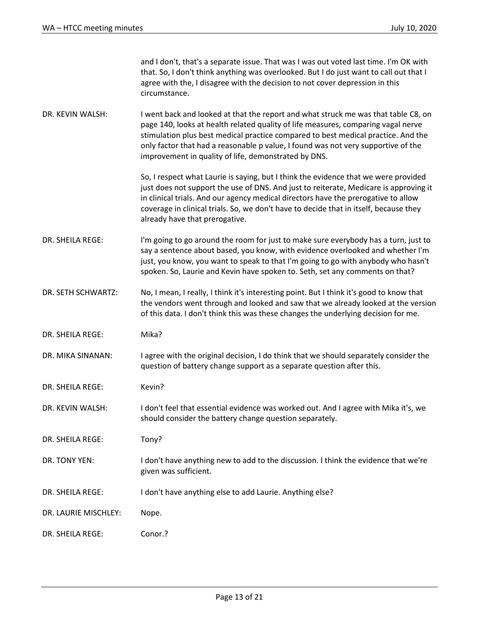|                      | and I don't, that's a separate issue. That was I was out voted last time. I'm OK with<br>that. So, I don't think anything was overlooked. But I do just want to call out that I<br>agree with the, I disagree with the decision to not cover depression in this<br>circumstance.                                                                                                                          |
|----------------------|-----------------------------------------------------------------------------------------------------------------------------------------------------------------------------------------------------------------------------------------------------------------------------------------------------------------------------------------------------------------------------------------------------------|
| DR. KEVIN WALSH:     | I went back and looked at that the report and what struck me was that table C8, on<br>page 140, looks at health related quality of life measures, comparing vagal nerve<br>stimulation plus best medical practice compared to best medical practice. And the<br>only factor that had a reasonable p value, I found was not very supportive of the<br>improvement in quality of life, demonstrated by DNS. |
|                      | So, I respect what Laurie is saying, but I think the evidence that we were provided<br>just does not support the use of DNS. And just to reiterate, Medicare is approving it<br>in clinical trials. And our agency medical directors have the prerogative to allow<br>coverage in clinical trials. So, we don't have to decide that in itself, because they<br>already have that prerogative.             |
| DR. SHEILA REGE:     | I'm going to go around the room for just to make sure everybody has a turn, just to<br>say a sentence about based, you know, with evidence overlooked and whether I'm<br>just, you know, you want to speak to that I'm going to go with anybody who hasn't<br>spoken. So, Laurie and Kevin have spoken to. Seth, set any comments on that?                                                                |
| DR. SETH SCHWARTZ:   | No, I mean, I really, I think it's interesting point. But I think it's good to know that<br>the vendors went through and looked and saw that we already looked at the version<br>of this data. I don't think this was these changes the underlying decision for me.                                                                                                                                       |
| DR. SHEILA REGE:     | Mika?                                                                                                                                                                                                                                                                                                                                                                                                     |
| DR. MIKA SINANAN:    | I agree with the original decision, I do think that we should separately consider the<br>question of battery change support as a separate question after this.                                                                                                                                                                                                                                            |
| DR. SHEILA REGE:     | Kevin?                                                                                                                                                                                                                                                                                                                                                                                                    |
| DR. KEVIN WALSH:     | I don't feel that essential evidence was worked out. And I agree with Mika it's, we<br>should consider the battery change question separately.                                                                                                                                                                                                                                                            |
| DR. SHEILA REGE:     | Tony?                                                                                                                                                                                                                                                                                                                                                                                                     |
| DR. TONY YEN:        | I don't have anything new to add to the discussion. I think the evidence that we're<br>given was sufficient.                                                                                                                                                                                                                                                                                              |
| DR. SHEILA REGE:     | I don't have anything else to add Laurie. Anything else?                                                                                                                                                                                                                                                                                                                                                  |
| DR. LAURIE MISCHLEY: | Nope.                                                                                                                                                                                                                                                                                                                                                                                                     |
| DR. SHEILA REGE:     | Conor.?                                                                                                                                                                                                                                                                                                                                                                                                   |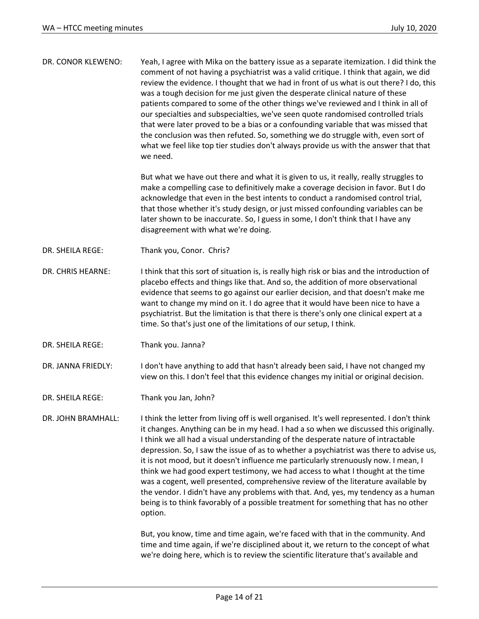| DR. CONOR KLEWENO: | Yeah, I agree with Mika on the battery issue as a separate itemization. I did think the<br>comment of not having a psychiatrist was a valid critique. I think that again, we did<br>review the evidence. I thought that we had in front of us what is out there? I do, this<br>was a tough decision for me just given the desperate clinical nature of these<br>patients compared to some of the other things we've reviewed and I think in all of<br>our specialties and subspecialties, we've seen quote randomised controlled trials<br>that were later proved to be a bias or a confounding variable that was missed that<br>the conclusion was then refuted. So, something we do struggle with, even sort of<br>what we feel like top tier studies don't always provide us with the answer that that<br>we need.     |
|--------------------|---------------------------------------------------------------------------------------------------------------------------------------------------------------------------------------------------------------------------------------------------------------------------------------------------------------------------------------------------------------------------------------------------------------------------------------------------------------------------------------------------------------------------------------------------------------------------------------------------------------------------------------------------------------------------------------------------------------------------------------------------------------------------------------------------------------------------|
|                    | But what we have out there and what it is given to us, it really, really struggles to<br>make a compelling case to definitively make a coverage decision in favor. But I do<br>acknowledge that even in the best intents to conduct a randomised control trial,<br>that those whether it's study design, or just missed confounding variables can be<br>later shown to be inaccurate. So, I guess in some, I don't think that I have any<br>disagreement with what we're doing.                                                                                                                                                                                                                                                                                                                                           |
| DR. SHEILA REGE:   | Thank you, Conor. Chris?                                                                                                                                                                                                                                                                                                                                                                                                                                                                                                                                                                                                                                                                                                                                                                                                  |
| DR. CHRIS HEARNE:  | I think that this sort of situation is, is really high risk or bias and the introduction of<br>placebo effects and things like that. And so, the addition of more observational<br>evidence that seems to go against our earlier decision, and that doesn't make me<br>want to change my mind on it. I do agree that it would have been nice to have a<br>psychiatrist. But the limitation is that there is there's only one clinical expert at a<br>time. So that's just one of the limitations of our setup, I think.                                                                                                                                                                                                                                                                                                   |
| DR. SHEILA REGE:   | Thank you. Janna?                                                                                                                                                                                                                                                                                                                                                                                                                                                                                                                                                                                                                                                                                                                                                                                                         |
| DR. JANNA FRIEDLY: | I don't have anything to add that hasn't already been said, I have not changed my<br>view on this. I don't feel that this evidence changes my initial or original decision.                                                                                                                                                                                                                                                                                                                                                                                                                                                                                                                                                                                                                                               |
| DR. SHEILA REGE:   | Thank you Jan, John?                                                                                                                                                                                                                                                                                                                                                                                                                                                                                                                                                                                                                                                                                                                                                                                                      |
| DR. JOHN BRAMHALL: | I think the letter from living off is well organised. It's well represented. I don't think<br>it changes. Anything can be in my head. I had a so when we discussed this originally.<br>I think we all had a visual understanding of the desperate nature of intractable<br>depression. So, I saw the issue of as to whether a psychiatrist was there to advise us,<br>it is not mood, but it doesn't influence me particularly strenuously now. I mean, I<br>think we had good expert testimony, we had access to what I thought at the time<br>was a cogent, well presented, comprehensive review of the literature available by<br>the vendor. I didn't have any problems with that. And, yes, my tendency as a human<br>being is to think favorably of a possible treatment for something that has no other<br>option. |
|                    | But, you know, time and time again, we're faced with that in the community. And<br>time and time again, if we're disciplined about it, we return to the concept of what<br>we're doing here, which is to review the scientific literature that's available and                                                                                                                                                                                                                                                                                                                                                                                                                                                                                                                                                            |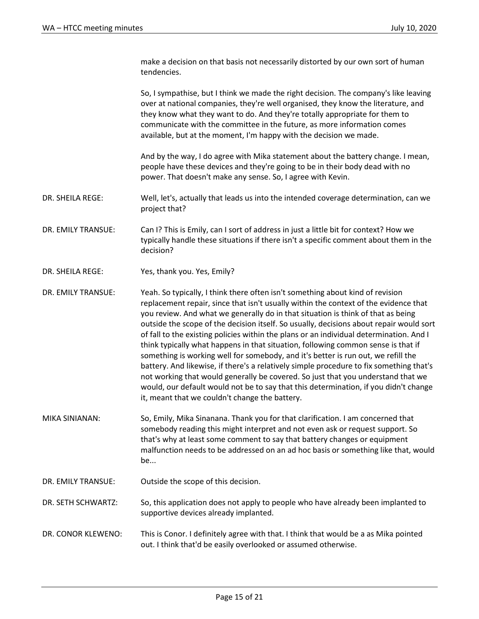make a decision on that basis not necessarily distorted by our own sort of human tendencies.

So, I sympathise, but I think we made the right decision. The company's like leaving over at national companies, they're well organised, they know the literature, and they know what they want to do. And they're totally appropriate for them to communicate with the committee in the future, as more information comes available, but at the moment, I'm happy with the decision we made.

And by the way, I do agree with Mika statement about the battery change. I mean, people have these devices and they're going to be in their body dead with no power. That doesn't make any sense. So, I agree with Kevin.

DR. SHEILA REGE: Well, let's, actually that leads us into the intended coverage determination, can we project that?

DR. EMILY TRANSUE: Can I? This is Emily, can I sort of address in just a little bit for context? How we typically handle these situations if there isn't a specific comment about them in the decision?

DR. SHEILA REGE: Yes, thank you. Yes, Emily?

DR. EMILY TRANSUE: Yeah. So typically, I think there often isn't something about kind of revision replacement repair, since that isn't usually within the context of the evidence that you review. And what we generally do in that situation is think of that as being outside the scope of the decision itself. So usually, decisions about repair would sort of fall to the existing policies within the plans or an individual determination. And I think typically what happens in that situation, following common sense is that if something is working well for somebody, and it's better is run out, we refill the battery. And likewise, if there's a relatively simple procedure to fix something that's not working that would generally be covered. So just that you understand that we would, our default would not be to say that this determination, if you didn't change it, meant that we couldn't change the battery.

MIKA SINIANAN: So, Emily, Mika Sinanana. Thank you for that clarification. I am concerned that somebody reading this might interpret and not even ask or request support. So that's why at least some comment to say that battery changes or equipment malfunction needs to be addressed on an ad hoc basis or something like that, would be...

DR. EMILY TRANSUE: Outside the scope of this decision.

DR. SETH SCHWARTZ: So, this application does not apply to people who have already been implanted to supportive devices already implanted.

DR. CONOR KLEWENO: This is Conor. I definitely agree with that. I think that would be a as Mika pointed out. I think that'd be easily overlooked or assumed otherwise.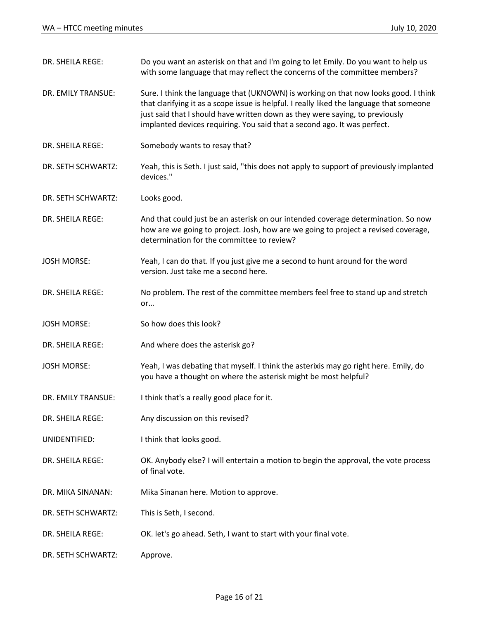| DR. SHEILA REGE:   | Do you want an asterisk on that and I'm going to let Emily. Do you want to help us<br>with some language that may reflect the concerns of the committee members?                                                                                                                                                                            |
|--------------------|---------------------------------------------------------------------------------------------------------------------------------------------------------------------------------------------------------------------------------------------------------------------------------------------------------------------------------------------|
| DR. EMILY TRANSUE: | Sure. I think the language that (UKNOWN) is working on that now looks good. I think<br>that clarifying it as a scope issue is helpful. I really liked the language that someone<br>just said that I should have written down as they were saying, to previously<br>implanted devices requiring. You said that a second ago. It was perfect. |
| DR. SHEILA REGE:   | Somebody wants to resay that?                                                                                                                                                                                                                                                                                                               |
| DR. SETH SCHWARTZ: | Yeah, this is Seth. I just said, "this does not apply to support of previously implanted<br>devices."                                                                                                                                                                                                                                       |
| DR. SETH SCHWARTZ: | Looks good.                                                                                                                                                                                                                                                                                                                                 |
| DR. SHEILA REGE:   | And that could just be an asterisk on our intended coverage determination. So now<br>how are we going to project. Josh, how are we going to project a revised coverage,<br>determination for the committee to review?                                                                                                                       |
| <b>JOSH MORSE:</b> | Yeah, I can do that. If you just give me a second to hunt around for the word<br>version. Just take me a second here.                                                                                                                                                                                                                       |
| DR. SHEILA REGE:   | No problem. The rest of the committee members feel free to stand up and stretch<br>or                                                                                                                                                                                                                                                       |
| <b>JOSH MORSE:</b> | So how does this look?                                                                                                                                                                                                                                                                                                                      |
| DR. SHEILA REGE:   | And where does the asterisk go?                                                                                                                                                                                                                                                                                                             |
| <b>JOSH MORSE:</b> | Yeah, I was debating that myself. I think the asterixis may go right here. Emily, do<br>you have a thought on where the asterisk might be most helpful?                                                                                                                                                                                     |
| DR. EMILY TRANSUE: | I think that's a really good place for it.                                                                                                                                                                                                                                                                                                  |
| DR. SHEILA REGE:   | Any discussion on this revised?                                                                                                                                                                                                                                                                                                             |
| UNIDENTIFIED:      | I think that looks good.                                                                                                                                                                                                                                                                                                                    |
| DR. SHEILA REGE:   | OK. Anybody else? I will entertain a motion to begin the approval, the vote process<br>of final vote.                                                                                                                                                                                                                                       |
| DR. MIKA SINANAN:  | Mika Sinanan here. Motion to approve.                                                                                                                                                                                                                                                                                                       |
| DR. SETH SCHWARTZ: | This is Seth, I second.                                                                                                                                                                                                                                                                                                                     |
| DR. SHEILA REGE:   | OK. let's go ahead. Seth, I want to start with your final vote.                                                                                                                                                                                                                                                                             |
| DR. SETH SCHWARTZ: | Approve.                                                                                                                                                                                                                                                                                                                                    |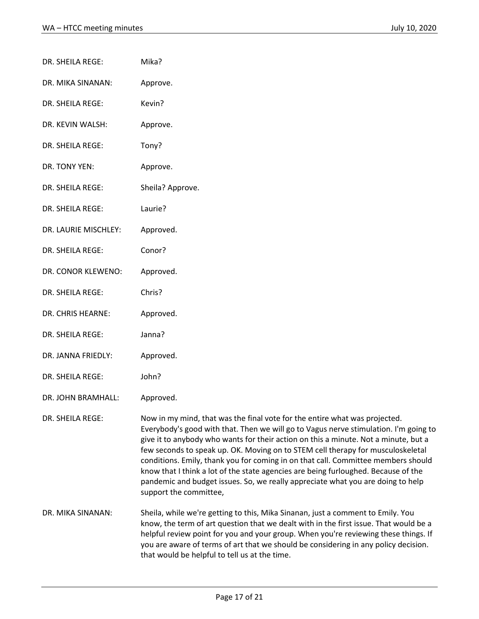| DR. SHEILA REGE:     | Mika?                                                                                                                                                                                                                                                                                                                                                                                                                                                                                                                                                                                                                                |
|----------------------|--------------------------------------------------------------------------------------------------------------------------------------------------------------------------------------------------------------------------------------------------------------------------------------------------------------------------------------------------------------------------------------------------------------------------------------------------------------------------------------------------------------------------------------------------------------------------------------------------------------------------------------|
| DR. MIKA SINANAN:    | Approve.                                                                                                                                                                                                                                                                                                                                                                                                                                                                                                                                                                                                                             |
| DR. SHEILA REGE:     | Kevin?                                                                                                                                                                                                                                                                                                                                                                                                                                                                                                                                                                                                                               |
| DR. KEVIN WALSH:     | Approve.                                                                                                                                                                                                                                                                                                                                                                                                                                                                                                                                                                                                                             |
| DR. SHEILA REGE:     | Tony?                                                                                                                                                                                                                                                                                                                                                                                                                                                                                                                                                                                                                                |
| DR. TONY YEN:        | Approve.                                                                                                                                                                                                                                                                                                                                                                                                                                                                                                                                                                                                                             |
| DR. SHEILA REGE:     | Sheila? Approve.                                                                                                                                                                                                                                                                                                                                                                                                                                                                                                                                                                                                                     |
| DR. SHEILA REGE:     | Laurie?                                                                                                                                                                                                                                                                                                                                                                                                                                                                                                                                                                                                                              |
| DR. LAURIE MISCHLEY: | Approved.                                                                                                                                                                                                                                                                                                                                                                                                                                                                                                                                                                                                                            |
| DR. SHEILA REGE:     | Conor?                                                                                                                                                                                                                                                                                                                                                                                                                                                                                                                                                                                                                               |
| DR. CONOR KLEWENO:   | Approved.                                                                                                                                                                                                                                                                                                                                                                                                                                                                                                                                                                                                                            |
| DR. SHEILA REGE:     | Chris?                                                                                                                                                                                                                                                                                                                                                                                                                                                                                                                                                                                                                               |
| DR. CHRIS HEARNE:    | Approved.                                                                                                                                                                                                                                                                                                                                                                                                                                                                                                                                                                                                                            |
| DR. SHEILA REGE:     | Janna?                                                                                                                                                                                                                                                                                                                                                                                                                                                                                                                                                                                                                               |
| DR. JANNA FRIEDLY:   | Approved.                                                                                                                                                                                                                                                                                                                                                                                                                                                                                                                                                                                                                            |
| DR. SHEILA REGE:     | John?                                                                                                                                                                                                                                                                                                                                                                                                                                                                                                                                                                                                                                |
| DR. JOHN BRAMHALL:   | Approved.                                                                                                                                                                                                                                                                                                                                                                                                                                                                                                                                                                                                                            |
| DR. SHEILA REGE:     | Now in my mind, that was the final vote for the entire what was projected.<br>Everybody's good with that. Then we will go to Vagus nerve stimulation. I'm going to<br>give it to anybody who wants for their action on this a minute. Not a minute, but a<br>few seconds to speak up. OK. Moving on to STEM cell therapy for musculoskeletal<br>conditions. Emily, thank you for coming in on that call. Committee members should<br>know that I think a lot of the state agencies are being furloughed. Because of the<br>pandemic and budget issues. So, we really appreciate what you are doing to help<br>support the committee, |
| DR. MIKA SINANAN:    | Sheila, while we're getting to this, Mika Sinanan, just a comment to Emily. You<br>know, the term of art question that we dealt with in the first issue. That would be a<br>helpful review point for you and your group. When you're reviewing these things. If<br>you are aware of terms of art that we should be considering in any policy decision.<br>that would be helpful to tell us at the time.                                                                                                                                                                                                                              |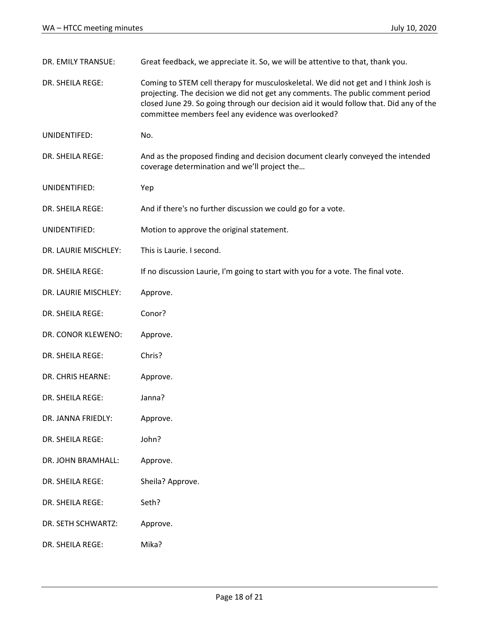| DR. EMILY TRANSUE:   | Great feedback, we appreciate it. So, we will be attentive to that, thank you.                                                                                                                                                                                                                                          |
|----------------------|-------------------------------------------------------------------------------------------------------------------------------------------------------------------------------------------------------------------------------------------------------------------------------------------------------------------------|
| DR. SHEILA REGE:     | Coming to STEM cell therapy for musculoskeletal. We did not get and I think Josh is<br>projecting. The decision we did not get any comments. The public comment period<br>closed June 29. So going through our decision aid it would follow that. Did any of the<br>committee members feel any evidence was overlooked? |
| UNIDENTIFED:         | No.                                                                                                                                                                                                                                                                                                                     |
| DR. SHEILA REGE:     | And as the proposed finding and decision document clearly conveyed the intended<br>coverage determination and we'll project the                                                                                                                                                                                         |
| UNIDENTIFIED:        | Yep                                                                                                                                                                                                                                                                                                                     |
| DR. SHEILA REGE:     | And if there's no further discussion we could go for a vote.                                                                                                                                                                                                                                                            |
| UNIDENTIFIED:        | Motion to approve the original statement.                                                                                                                                                                                                                                                                               |
| DR. LAURIE MISCHLEY: | This is Laurie. I second.                                                                                                                                                                                                                                                                                               |
| DR. SHEILA REGE:     | If no discussion Laurie, I'm going to start with you for a vote. The final vote.                                                                                                                                                                                                                                        |
| DR. LAURIE MISCHLEY: | Approve.                                                                                                                                                                                                                                                                                                                |
| DR. SHEILA REGE:     | Conor?                                                                                                                                                                                                                                                                                                                  |
| DR. CONOR KLEWENO:   | Approve.                                                                                                                                                                                                                                                                                                                |
| DR. SHEILA REGE:     | Chris?                                                                                                                                                                                                                                                                                                                  |
| DR. CHRIS HEARNE:    | Approve.                                                                                                                                                                                                                                                                                                                |
| DR. SHEILA REGE:     | Janna?                                                                                                                                                                                                                                                                                                                  |
| DR. JANNA FRIEDLY:   | Approve.                                                                                                                                                                                                                                                                                                                |
| DR. SHEILA REGE:     | John?                                                                                                                                                                                                                                                                                                                   |
| DR. JOHN BRAMHALL:   | Approve.                                                                                                                                                                                                                                                                                                                |
| DR. SHEILA REGE:     | Sheila? Approve.                                                                                                                                                                                                                                                                                                        |
| DR. SHEILA REGE:     | Seth?                                                                                                                                                                                                                                                                                                                   |
| DR. SETH SCHWARTZ:   | Approve.                                                                                                                                                                                                                                                                                                                |
| DR. SHEILA REGE:     | Mika?                                                                                                                                                                                                                                                                                                                   |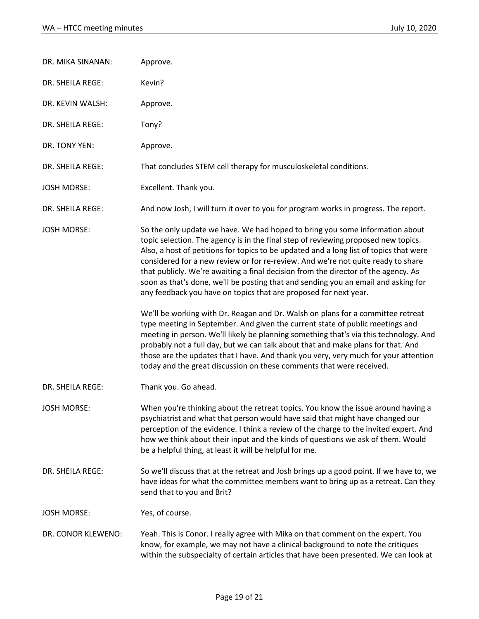| DR. MIKA SINANAN:  | Approve.                                                                                                                                                                                                                                                                                                                                                                                                                                                                                                                                                                                                                                                                                                                                                                                                                                                                                                                                          |
|--------------------|---------------------------------------------------------------------------------------------------------------------------------------------------------------------------------------------------------------------------------------------------------------------------------------------------------------------------------------------------------------------------------------------------------------------------------------------------------------------------------------------------------------------------------------------------------------------------------------------------------------------------------------------------------------------------------------------------------------------------------------------------------------------------------------------------------------------------------------------------------------------------------------------------------------------------------------------------|
| DR. SHEILA REGE:   | Kevin?                                                                                                                                                                                                                                                                                                                                                                                                                                                                                                                                                                                                                                                                                                                                                                                                                                                                                                                                            |
| DR. KEVIN WALSH:   | Approve.                                                                                                                                                                                                                                                                                                                                                                                                                                                                                                                                                                                                                                                                                                                                                                                                                                                                                                                                          |
| DR. SHEILA REGE:   | Tony?                                                                                                                                                                                                                                                                                                                                                                                                                                                                                                                                                                                                                                                                                                                                                                                                                                                                                                                                             |
| DR. TONY YEN:      | Approve.                                                                                                                                                                                                                                                                                                                                                                                                                                                                                                                                                                                                                                                                                                                                                                                                                                                                                                                                          |
| DR. SHEILA REGE:   | That concludes STEM cell therapy for musculoskeletal conditions.                                                                                                                                                                                                                                                                                                                                                                                                                                                                                                                                                                                                                                                                                                                                                                                                                                                                                  |
| <b>JOSH MORSE:</b> | Excellent. Thank you.                                                                                                                                                                                                                                                                                                                                                                                                                                                                                                                                                                                                                                                                                                                                                                                                                                                                                                                             |
| DR. SHEILA REGE:   | And now Josh, I will turn it over to you for program works in progress. The report.                                                                                                                                                                                                                                                                                                                                                                                                                                                                                                                                                                                                                                                                                                                                                                                                                                                               |
| <b>JOSH MORSE:</b> | So the only update we have. We had hoped to bring you some information about<br>topic selection. The agency is in the final step of reviewing proposed new topics.<br>Also, a host of petitions for topics to be updated and a long list of topics that were<br>considered for a new review or for re-review. And we're not quite ready to share<br>that publicly. We're awaiting a final decision from the director of the agency. As<br>soon as that's done, we'll be posting that and sending you an email and asking for<br>any feedback you have on topics that are proposed for next year.<br>We'll be working with Dr. Reagan and Dr. Walsh on plans for a committee retreat<br>type meeting in September. And given the current state of public meetings and<br>meeting in person. We'll likely be planning something that's via this technology. And<br>probably not a full day, but we can talk about that and make plans for that. And |
|                    | those are the updates that I have. And thank you very, very much for your attention<br>today and the great discussion on these comments that were received.                                                                                                                                                                                                                                                                                                                                                                                                                                                                                                                                                                                                                                                                                                                                                                                       |
| DR. SHEILA REGE:   | Thank you. Go ahead.                                                                                                                                                                                                                                                                                                                                                                                                                                                                                                                                                                                                                                                                                                                                                                                                                                                                                                                              |
| <b>JOSH MORSE:</b> | When you're thinking about the retreat topics. You know the issue around having a<br>psychiatrist and what that person would have said that might have changed our<br>perception of the evidence. I think a review of the charge to the invited expert. And<br>how we think about their input and the kinds of questions we ask of them. Would<br>be a helpful thing, at least it will be helpful for me.                                                                                                                                                                                                                                                                                                                                                                                                                                                                                                                                         |
| DR. SHEILA REGE:   | So we'll discuss that at the retreat and Josh brings up a good point. If we have to, we<br>have ideas for what the committee members want to bring up as a retreat. Can they<br>send that to you and Brit?                                                                                                                                                                                                                                                                                                                                                                                                                                                                                                                                                                                                                                                                                                                                        |
| <b>JOSH MORSE:</b> | Yes, of course.                                                                                                                                                                                                                                                                                                                                                                                                                                                                                                                                                                                                                                                                                                                                                                                                                                                                                                                                   |
| DR. CONOR KLEWENO: | Yeah. This is Conor. I really agree with Mika on that comment on the expert. You<br>know, for example, we may not have a clinical background to note the critiques<br>within the subspecialty of certain articles that have been presented. We can look at                                                                                                                                                                                                                                                                                                                                                                                                                                                                                                                                                                                                                                                                                        |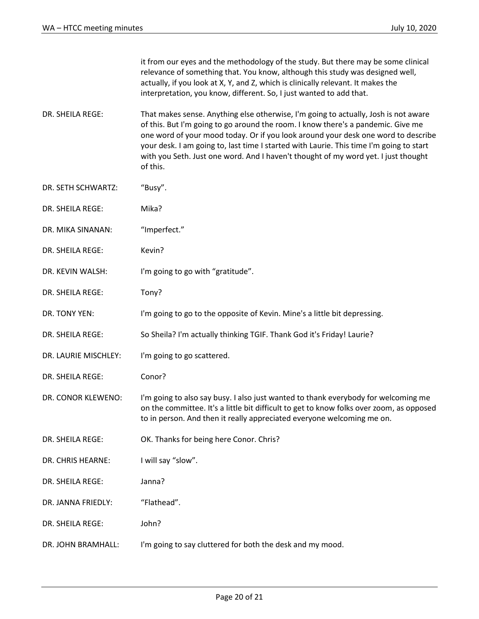|                      | it from our eyes and the methodology of the study. But there may be some clinical<br>relevance of something that. You know, although this study was designed well,<br>actually, if you look at X, Y, and Z, which is clinically relevant. It makes the<br>interpretation, you know, different. So, I just wanted to add that.                                                                                                                             |
|----------------------|-----------------------------------------------------------------------------------------------------------------------------------------------------------------------------------------------------------------------------------------------------------------------------------------------------------------------------------------------------------------------------------------------------------------------------------------------------------|
| DR. SHEILA REGE:     | That makes sense. Anything else otherwise, I'm going to actually, Josh is not aware<br>of this. But I'm going to go around the room. I know there's a pandemic. Give me<br>one word of your mood today. Or if you look around your desk one word to describe<br>your desk. I am going to, last time I started with Laurie. This time I'm going to start<br>with you Seth. Just one word. And I haven't thought of my word yet. I just thought<br>of this. |
| DR. SETH SCHWARTZ:   | "Busy".                                                                                                                                                                                                                                                                                                                                                                                                                                                   |
| DR. SHEILA REGE:     | Mika?                                                                                                                                                                                                                                                                                                                                                                                                                                                     |
| DR. MIKA SINANAN:    | "Imperfect."                                                                                                                                                                                                                                                                                                                                                                                                                                              |
| DR. SHEILA REGE:     | Kevin?                                                                                                                                                                                                                                                                                                                                                                                                                                                    |
| DR. KEVIN WALSH:     | I'm going to go with "gratitude".                                                                                                                                                                                                                                                                                                                                                                                                                         |
| DR. SHEILA REGE:     | Tony?                                                                                                                                                                                                                                                                                                                                                                                                                                                     |
| DR. TONY YEN:        | I'm going to go to the opposite of Kevin. Mine's a little bit depressing.                                                                                                                                                                                                                                                                                                                                                                                 |
| DR. SHEILA REGE:     | So Sheila? I'm actually thinking TGIF. Thank God it's Friday! Laurie?                                                                                                                                                                                                                                                                                                                                                                                     |
| DR. LAURIE MISCHLEY: | I'm going to go scattered.                                                                                                                                                                                                                                                                                                                                                                                                                                |
| DR. SHEILA REGE:     | Conor?                                                                                                                                                                                                                                                                                                                                                                                                                                                    |
| DR. CONOR KLEWENO:   | I'm going to also say busy. I also just wanted to thank everybody for welcoming me<br>on the committee. It's a little bit difficult to get to know folks over zoom, as opposed<br>to in person. And then it really appreciated everyone welcoming me on.                                                                                                                                                                                                  |
| DR. SHEILA REGE:     | OK. Thanks for being here Conor. Chris?                                                                                                                                                                                                                                                                                                                                                                                                                   |
| DR. CHRIS HEARNE:    | I will say "slow".                                                                                                                                                                                                                                                                                                                                                                                                                                        |
| DR. SHEILA REGE:     | Janna?                                                                                                                                                                                                                                                                                                                                                                                                                                                    |
| DR. JANNA FRIEDLY:   | "Flathead".                                                                                                                                                                                                                                                                                                                                                                                                                                               |
| DR. SHEILA REGE:     | John?                                                                                                                                                                                                                                                                                                                                                                                                                                                     |
| DR. JOHN BRAMHALL:   | I'm going to say cluttered for both the desk and my mood.                                                                                                                                                                                                                                                                                                                                                                                                 |